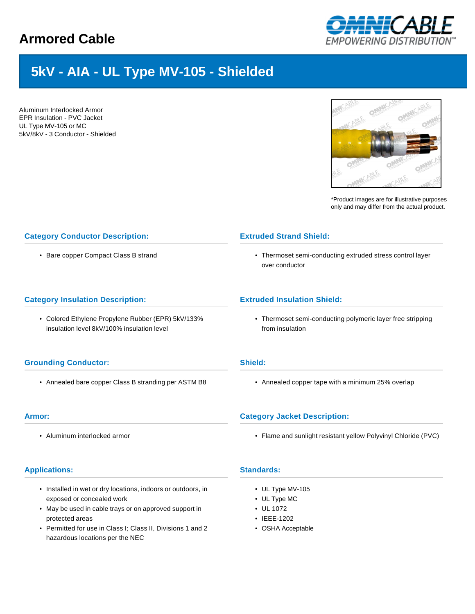## **Armored Cable**



# **5kV - AIA - UL Type MV-105 - Shielded**

Aluminum Interlocked Armor EPR Insulation - PVC Jacket UL Type MV-105 or MC 5kV/8kV - 3 Conductor - Shielded



\*Product images are for illustrative purposes only and may differ from the actual product.

### **Category Conductor Description:**

• Bare copper Compact Class B strand

#### **Category Insulation Description:**

• Colored Ethylene Propylene Rubber (EPR) 5kV/133% insulation level 8kV/100% insulation level

#### **Grounding Conductor:**

• Annealed bare copper Class B stranding per ASTM B8

#### **Armor:**

• Aluminum interlocked armor

#### **Applications:**

- Installed in wet or dry locations, indoors or outdoors, in exposed or concealed work
- May be used in cable trays or on approved support in protected areas
- Permitted for use in Class I; Class II, Divisions 1 and 2 hazardous locations per the NEC

#### **Extruded Strand Shield:**

• Thermoset semi-conducting extruded stress control layer over conductor

#### **Extruded Insulation Shield:**

• Thermoset semi-conducting polymeric layer free stripping from insulation

#### **Shield:**

• Annealed copper tape with a minimum 25% overlap

#### **Category Jacket Description:**

• Flame and sunlight resistant yellow Polyvinyl Chloride (PVC)

## **Standards:**

- UL Type MV-105
- UL Type MC
- UL 1072
- IEEE-1202
- OSHA Acceptable